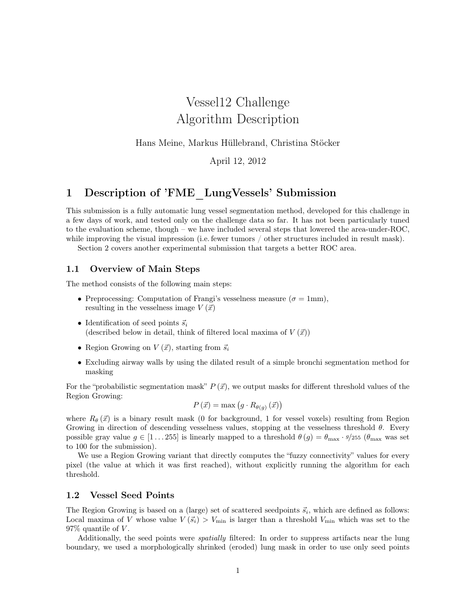# Vessel12 Challenge Algorithm Description

Hans Meine, Markus Hüllebrand, Christina Stöcker

April 12, 2012

## 1 Description of 'FME\_LungVessels' Submission

This submission is a fully automatic lung vessel segmentation method, developed for this challenge in a few days of work, and tested only on the challenge data so far. It has not been particularly tuned to the evaluation scheme, though – we have included several steps that lowered the area-under-ROC, while improving the visual impression (i.e. fewer tumors / other structures included in result mask).

Section 2 covers another experimental submission that targets a better ROC area.

#### 1.1 Overview of Main Steps

The method consists of the following main steps:

- Preprocessing: Computation of Frangi's vesselness measure ( $\sigma = 1$ mm), resulting in the vesselness image  $V(\vec{x})$
- Identification of seed points  $\vec{s}_i$ (described below in detail, think of filtered local maxima of  $V(\vec{x})$ )
- Region Growing on  $V(\vec{x})$ , starting from  $\vec{s}_i$
- Excluding airway walls by using the dilated result of a simple bronchi segmentation method for masking

For the "probabilistic segmentation mask"  $P(\vec{x})$ , we output masks for different threshold values of the Region Growing:

$$
P\left(\vec{x}\right) = \max\left(g \cdot R_{\theta(g)}\left(\vec{x}\right)\right)
$$

where  $R_{\theta}(\vec{x})$  is a binary result mask (0 for background, 1 for vessel voxels) resulting from Region Growing in direction of descending vesselness values, stopping at the vesselness threshold  $\theta$ . Every possible gray value  $g \in [1...255]$  is linearly mapped to a threshold  $\theta(g) = \theta_{\text{max}} \cdot g/255$  ( $\theta_{\text{max}}$  was set to 100 for the submission).

We use a Region Growing variant that directly computes the "fuzzy connectivity" values for every pixel (the value at which it was first reached), without explicitly running the algorithm for each threshold.

#### 1.2 Vessel Seed Points

The Region Growing is based on a (large) set of scattered seedpoints  $\vec{s}_i$ , which are defined as follows: Local maxima of V whose value  $V(\vec{s_i}) > V_{\text{min}}$  is larger than a threshold  $V_{\text{min}}$  which was set to the  $97\%$  quantile of V.

Additionally, the seed points were spatially filtered: In order to suppress artifacts near the lung boundary, we used a morphologically shrinked (eroded) lung mask in order to use only seed points